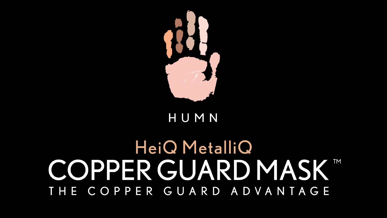

#### HUMN

### HeiQ MetalliQ COPPER GUARD MASK™ THE COPPER GUARD ADVANTAGE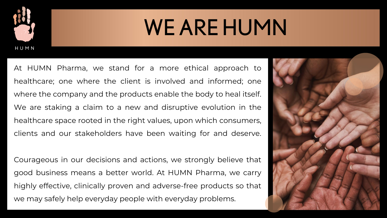

# WE ARE HUMN

At HUMN Pharma, we stand for a more ethical approach to healthcare; one where the client is involved and informed; one where the company and the products enable the body to heal itself. We are staking a claim to a new and disruptive evolution in the healthcare space rooted in the right values, upon which consumers, clients and our stakeholders have been waiting for and deserve.

Courageous in our decisions and actions, we strongly believe that good business means a better world. At HUMN Pharma, we carry highly effective, clinically proven and adverse-free products so that we may safely help everyday people with everyday problems.

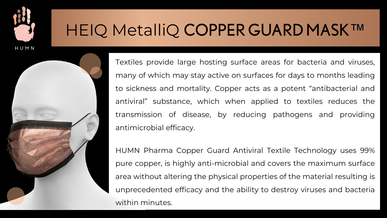

#### HEIQ MetalliQ COPPER GUARD MASK™

Textiles provide large hosting surface areas for bacteria and viruses, many of which may stay active on surfaces for days to months leading to sickness and mortality. Copper acts as a potent "antibacterial and antiviral" substance, which when applied to textiles reduces the transmission of disease, by reducing pathogens and providing antimicrobial efficacy.

HUMN Pharma Copper Guard Antiviral Textile Technology uses 99% pure copper, is highly anti-microbial and covers the maximum surface area without altering the physical properties of the material resulting is unprecedented efficacy and the ability to destroy viruses and bacteria within minutes.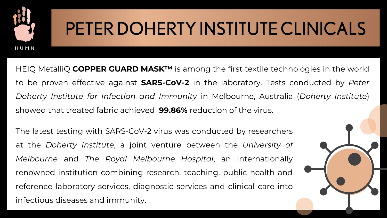

## PETER DOHERTY INSTITUTE CLINICALS

HEIQ MetalliQ **COPPER GUARD MASK™** is among the first textile technologies in the world to be proven effective against **SARS-CoV-2** in the laboratory. Tests conducted by *Peter Doherty Institute for Infection and Immunity* in Melbourne, Australia (*Doherty Institute*) showed that treated fabric achieved **99.86%** reduction of the virus.

The latest testing with SARS-CoV-2 virus was conducted by researchers at the *Doherty Institute*, a joint venture between the *University of Melbourne* and *The Royal Melbourne Hospital*, an internationally renowned institution combining research, teaching, public health and reference laboratory services, diagnostic services and clinical care into infectious diseases and immunity.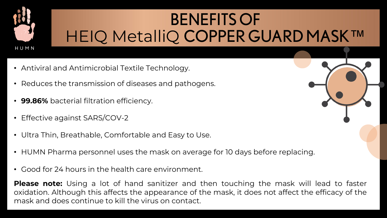

### BENEFITS OF HEIQ MetalliQ COPPER GUARD MASK™

- Antiviral and Antimicrobial Textile Technology.
- Reduces the transmission of diseases and pathogens.
- **99.86%** bacterial filtration efficiency.
- Effective against SARS/COV-2
- Ultra Thin, Breathable, Comfortable and Easy to Use.
- HUMN Pharma personnel uses the mask on average for 10 days before replacing.
- Good for 24 hours in the health care environment.

**Please note:** Using a lot of hand sanitizer and then touching the mask will lead to faster oxidation. Although this affects the appearance of the mask, it does not affect the efficacy of the mask and does continue to kill the virus on contact.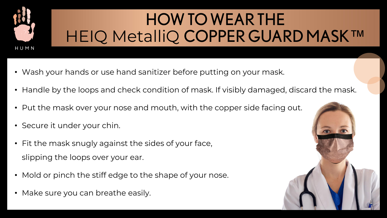

### HOW TO WEAR THE HEIQ MetalliQ COPPER GUARD MASK™

- Wash your hands or use hand sanitizer before putting on your mask.
- Handle by the loops and check condition of mask. If visibly damaged, discard the mask.
- Put the mask over your nose and mouth, with the copper side facing out.
- Secure it under your chin.
- Fit the mask snugly against the sides of your face, slipping the loops over your ear.
- Mold or pinch the stiff edge to the shape of your nose.
- Make sure you can breathe easily.

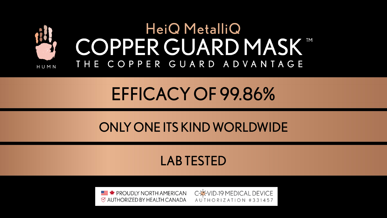

### EFFICACY OF 99.86%

#### ONLY ONE ITS KIND WORLDWIDE

#### LAB TESTED

**EVALUATE:**  $\bullet$  PROUDLY NORTH AMERICAN  $\heartsuit$  authorized by HEALTH CANADA

C-C-VID-19 MEDICAL DEVICE AUTHORIZATION #331457